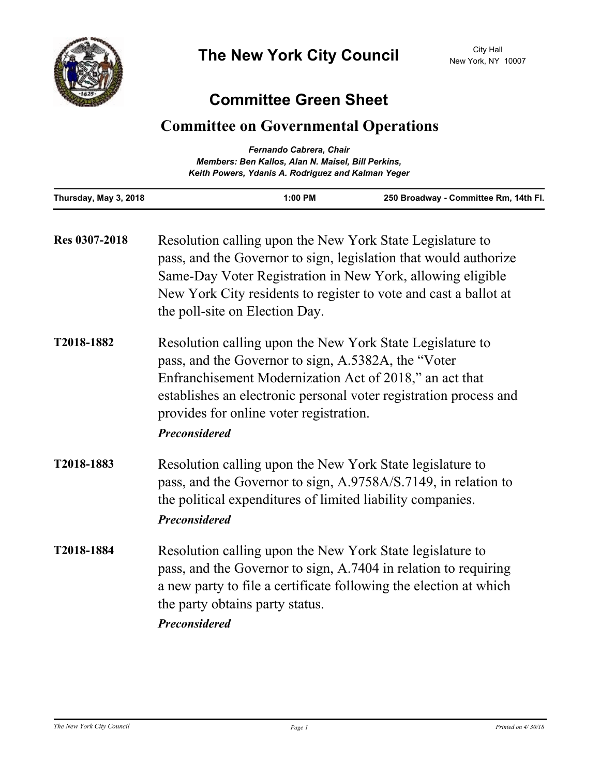

## **Committee Green Sheet**

## **Committee on Governmental Operations**

| Fernando Cabrera, Chair<br>Members: Ben Kallos, Alan N. Maisel, Bill Perkins,<br>Keith Powers, Ydanis A. Rodriguez and Kalman Yeger |                                                                                                                                                                                                                                                                                                                     |         |                                                                                                                                                                                                   |  |
|-------------------------------------------------------------------------------------------------------------------------------------|---------------------------------------------------------------------------------------------------------------------------------------------------------------------------------------------------------------------------------------------------------------------------------------------------------------------|---------|---------------------------------------------------------------------------------------------------------------------------------------------------------------------------------------------------|--|
| Thursday, May 3, 2018                                                                                                               |                                                                                                                                                                                                                                                                                                                     | 1:00 PM | 250 Broadway - Committee Rm, 14th Fl.                                                                                                                                                             |  |
| Res 0307-2018                                                                                                                       | Resolution calling upon the New York State Legislature to<br>pass, and the Governor to sign, legislation that would authorize<br>Same-Day Voter Registration in New York, allowing eligible<br>New York City residents to register to vote and cast a ballot at<br>the poll-site on Election Day.                   |         |                                                                                                                                                                                                   |  |
| T2018-1882                                                                                                                          | Resolution calling upon the New York State Legislature to<br>pass, and the Governor to sign, A.5382A, the "Voter<br>Enfranchisement Modernization Act of 2018," an act that<br>establishes an electronic personal voter registration process and<br>provides for online voter registration.<br><b>Preconsidered</b> |         |                                                                                                                                                                                                   |  |
| T2018-1883                                                                                                                          | Resolution calling upon the New York State legislature to<br>pass, and the Governor to sign, A.9758A/S.7149, in relation to<br>the political expenditures of limited liability companies.<br><b>Preconsidered</b>                                                                                                   |         |                                                                                                                                                                                                   |  |
| T2018-1884                                                                                                                          | the party obtains party status.<br><b>Preconsidered</b>                                                                                                                                                                                                                                                             |         | Resolution calling upon the New York State legislature to<br>pass, and the Governor to sign, A.7404 in relation to requiring<br>a new party to file a certificate following the election at which |  |